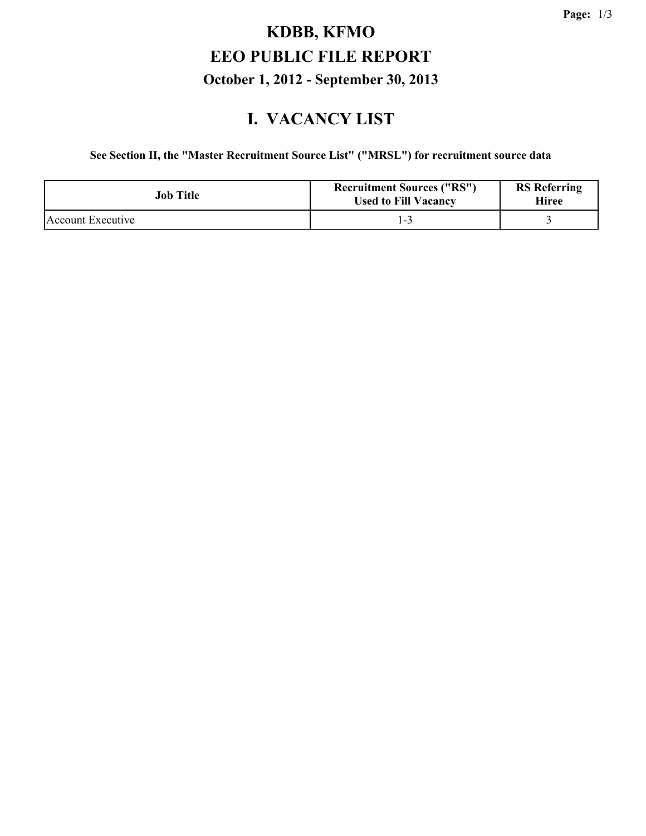# **KDBB, KFMO EEO PUBLIC FILE REPORT October 1, 2012 - September 30, 2013**

#### **I. VACANCY LIST**

**See Section II, the "Master Recruitment Source List" ("MRSL") for recruitment source data**

| Job Title         | <b>Recruitment Sources ("RS")</b><br><b>Used to Fill Vacancy</b> | <b>RS</b> Referring<br>Hiree |
|-------------------|------------------------------------------------------------------|------------------------------|
| Account Executive |                                                                  |                              |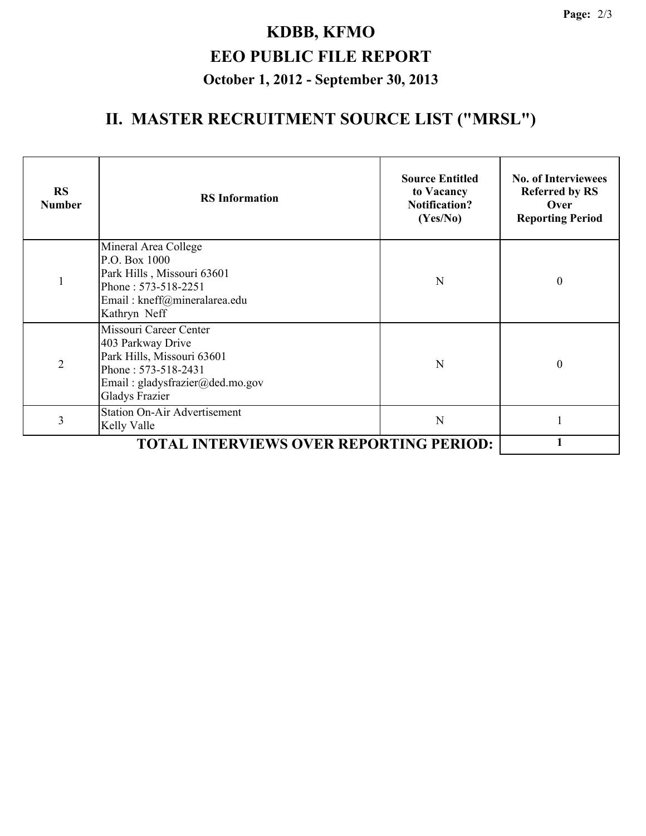# **KDBB, KFMO EEO PUBLIC FILE REPORT October 1, 2012 - September 30, 2013**

## **II. MASTER RECRUITMENT SOURCE LIST ("MRSL")**

| <b>RS</b><br><b>Number</b> | <b>RS</b> Information                                                                                                                                        | <b>Source Entitled</b><br>to Vacancy<br><b>Notification?</b><br>(Yes/No) | <b>No. of Interviewees</b><br><b>Referred by RS</b><br>Over<br><b>Reporting Period</b> |
|----------------------------|--------------------------------------------------------------------------------------------------------------------------------------------------------------|--------------------------------------------------------------------------|----------------------------------------------------------------------------------------|
| $\mathbf{1}$               | Mineral Area College<br>P.O. Box 1000<br>Park Hills, Missouri 63601<br>Phone: 573-518-2251<br>Email: kneff@mineralarea.edu<br>Kathryn Neff                   | N                                                                        | $\boldsymbol{0}$                                                                       |
| $\overline{2}$             | Missouri Career Center<br>403 Parkway Drive<br>Park Hills, Missouri 63601<br>Phone: 573-518-2431<br>Email: gladysfrazier@ded.mo.gov<br><b>Gladys Frazier</b> | N                                                                        | $\boldsymbol{0}$                                                                       |
| 3                          | <b>Station On-Air Advertisement</b><br>Kelly Valle                                                                                                           | N                                                                        |                                                                                        |
|                            |                                                                                                                                                              |                                                                          |                                                                                        |